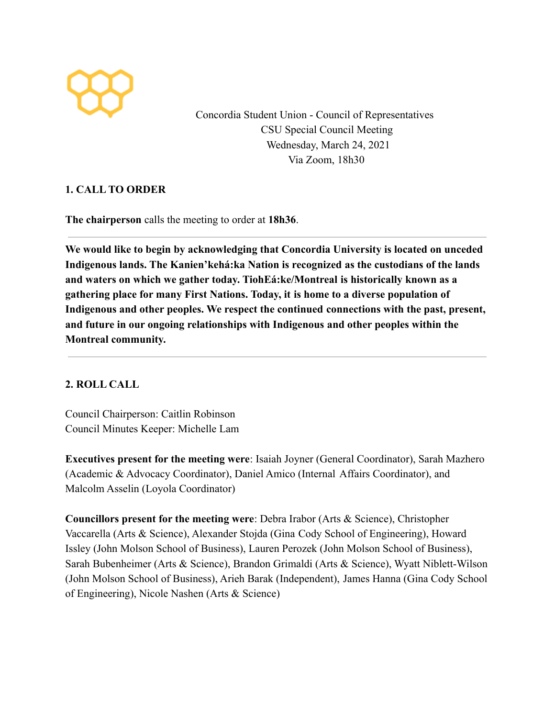

Concordia Student Union - Council of Representatives CSU Special Council Meeting Wednesday, March 24, 2021 Via Zoom, 18h30

## **1. CALL TO ORDER**

**The chairperson** calls the meeting to order at **18h36**.

**We would like to begin by acknowledging that Concordia University is located on unceded Indigenous lands. The Kanien'kehá:ka Nation is recognized as the custodians of the lands and waters on which we gather today. TiohEá:ke/Montreal is historically known as a gathering place for many First Nations. Today, it is home to a diverse population of Indigenous and other peoples. We respect the continued connections with the past, present, and future in our ongoing relationships with Indigenous and other peoples within the Montreal community.**

## **2. ROLL CALL**

Council Chairperson: Caitlin Robinson Council Minutes Keeper: Michelle Lam

**Executives present for the meeting were**: Isaiah Joyner (General Coordinator), Sarah Mazhero (Academic & Advocacy Coordinator), Daniel Amico (Internal Affairs Coordinator), and Malcolm Asselin (Loyola Coordinator)

**Councillors present for the meeting were**: Debra Irabor (Arts & Science), Christopher Vaccarella (Arts & Science), Alexander Stojda (Gina Cody School of Engineering), Howard Issley (John Molson School of Business), Lauren Perozek (John Molson School of Business), Sarah Bubenheimer (Arts & Science), Brandon Grimaldi (Arts & Science), Wyatt Niblett-Wilson (John Molson School of Business), Arieh Barak (Independent), James Hanna (Gina Cody School of Engineering), Nicole Nashen (Arts & Science)